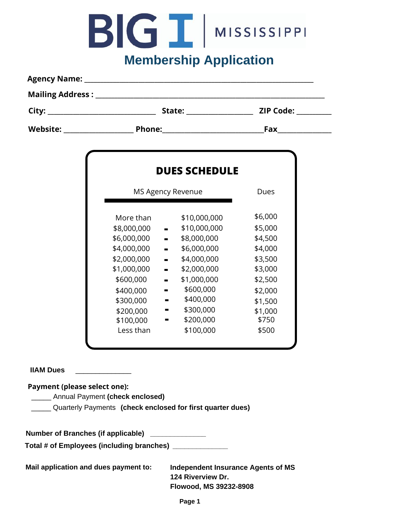# BIGINISSISSIPPI

### **Membership Application**

| <b>Agency Name:</b> |               |                  |  |  |  |  |
|---------------------|---------------|------------------|--|--|--|--|
|                     |               |                  |  |  |  |  |
| City:               | State:        | <b>ZIP Code:</b> |  |  |  |  |
| <b>Website:</b>     | <b>Phone:</b> | Fax              |  |  |  |  |

| <b>DUES SCHEDULE</b>     |                               |         |  |  |  |  |  |
|--------------------------|-------------------------------|---------|--|--|--|--|--|
| <b>MS Agency Revenue</b> |                               | Dues    |  |  |  |  |  |
| More than                | \$10,000,000                  | \$6,000 |  |  |  |  |  |
| \$8,000,000              | \$10,000,000                  | \$5,000 |  |  |  |  |  |
| \$6,000,000              | \$8,000,000<br>m              | \$4,500 |  |  |  |  |  |
| \$4,000,000              | \$6,000,000<br>$\blacksquare$ | \$4,000 |  |  |  |  |  |
| \$2,000,000              | \$4,000,000<br>÷              | \$3,500 |  |  |  |  |  |
| \$1,000,000              | \$2,000,000                   | \$3,000 |  |  |  |  |  |
| \$600,000                | \$1,000,000<br>ш              | \$2,500 |  |  |  |  |  |
| \$400,000                | \$600,000                     | \$2,000 |  |  |  |  |  |
| \$300,000                | \$400,000                     | \$1,500 |  |  |  |  |  |
| \$200,000                | \$300,000                     | \$1,000 |  |  |  |  |  |
| \$100,000                | \$200,000                     | \$750   |  |  |  |  |  |
| Less than                | \$100,000                     | \$500   |  |  |  |  |  |

#### **IIAM Dues**

#### **Payment (please select one):**

- \_\_\_\_\_ Annual Payment **(check enclosed)**
- \_\_\_\_\_ Quarterly Payments **(check enclosed for first quarter dues)**

**Number of Branches (if applicable) \_\_\_\_\_\_\_\_\_\_\_\_\_\_**

**Total # of Employees (including branches) \_\_\_\_\_\_\_\_\_\_\_\_\_\_**

**Mail application and dues payment to: Independent Insurance Agents of MS**

**124 Riverview Dr. Flowood, MS 39232-8908**